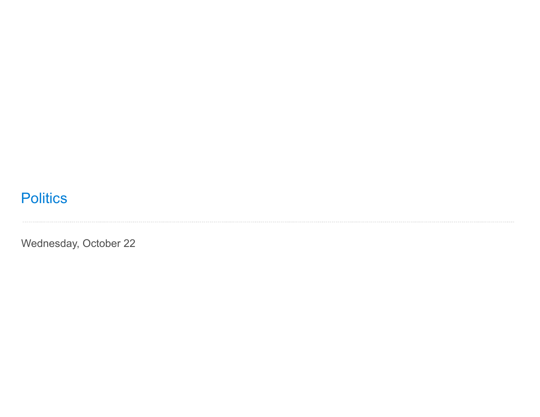## **Politics**

Wednesday, October 22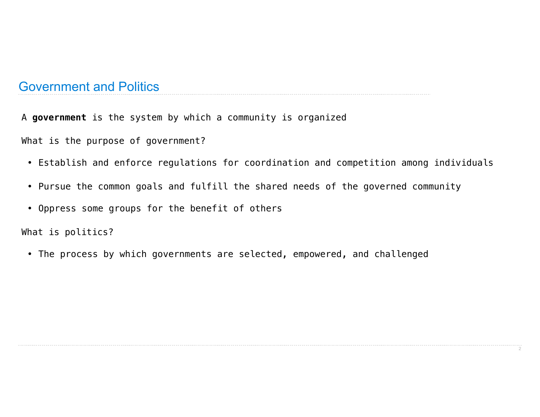## Government and Politics

A **government** is the system by which a community is organized

What is the purpose of government?

- Establish and enforce regulations for coordination and competition among individuals
- Pursue the common goals and fulfill the shared needs of the governed community
- Oppress some groups for the benefit of others

What is politics?

• The process by which governments are selected, empowered, and challenged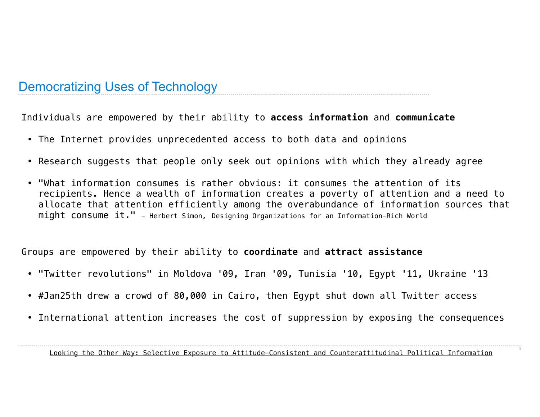## Democratizing Uses of Technology

Individuals are empowered by their ability to **access information** and **communicate**

- The Internet provides unprecedented access to both data and opinions
- Research suggests that people only seek out opinions with which they already agree
- "What information consumes is rather obvious: it consumes the attention of its recipients. Hence a wealth of information creates a poverty of attention and a need to allocate that attention efficiently among the overabundance of information sources that might consume it." - Herbert Simon, Designing Organizations for an Information-Rich World

Groups are empowered by their ability to **coordinate** and **attract assistance**

- "Twitter revolutions" in Moldova '09, Iran '09, Tunisia '10, Egypt '11, Ukraine '13
- #Jan25th drew a crowd of 80,000 in Cairo, then Egypt shut down all Twitter access
- International attention increases the cost of suppression by exposing the consequences

3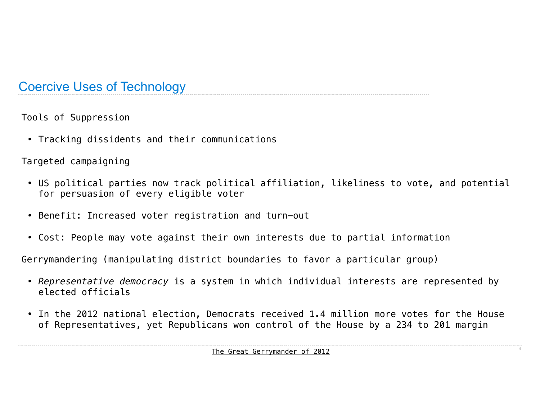## Coercive Uses of Technology

Tools of Suppression

• Tracking dissidents and their communications

Targeted campaigning

- US political parties now track political affiliation, likeliness to vote, and potential for persuasion of every eligible voter
- Benefit: Increased voter registration and turn-out
- Cost: People may vote against their own interests due to partial information

Gerrymandering (manipulating district boundaries to favor a particular group)

- *Representative democracy* is a system in which individual interests are represented by elected officials
- In the 2012 national election, Democrats received 1.4 million more votes for the House of Representatives, yet Republicans won control of the House by a 234 to 201 margin